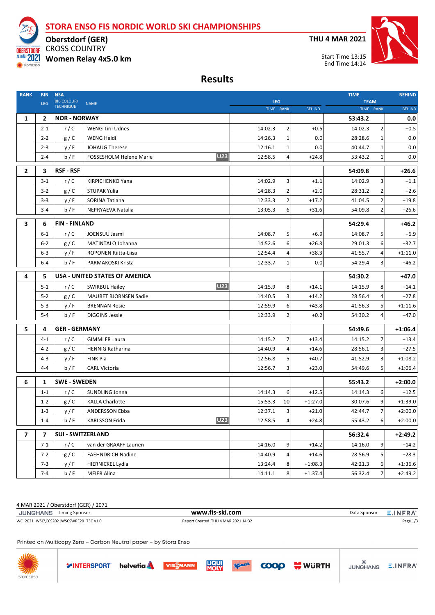**STORA ENSO FIS NORDIC WORLD SKI CHAMPIONSHIPS**

**THU 4 MAR 2021**

.<br>JUNGHANS

 $\equiv$ .INFRA

WURTH



CROSS COUNTRY **Oberstdorf (GER) Women Relay 4x5.0 km**

**TRORE** 

storgensc

**Results**

| <b>RANK</b>    | <b>BIB</b><br><b>LEG</b> | <b>NSA</b><br><b>BIB COLOUR/</b> | <b>NAME</b>                                  | <b>LEG</b> |              |               | <b>TIME</b> | <b>TEAM</b>    |               |  |
|----------------|--------------------------|----------------------------------|----------------------------------------------|------------|--------------|---------------|-------------|----------------|---------------|--|
|                |                          | <b>TECHNIQUE</b>                 |                                              | TIME RANK  |              | <b>BEHIND</b> | TIME RANK   |                | <b>BEHIND</b> |  |
| 1              | $\overline{2}$           | <b>NOR - NORWAY</b>              |                                              |            |              |               | 53:43.2     |                | 0.0           |  |
|                | $2 - 1$                  | r/C                              | <b>WENG Tiril Udnes</b>                      | 14:02.3    | 2            | $+0.5$        | 14:02.3     | $\overline{2}$ | $+0.5$        |  |
|                | $2 - 2$                  | g/C                              | <b>WENG Heidi</b>                            | 14:26.3    | $\mathbf{1}$ | 0.0           | 28:28.6     | $\mathbf{1}$   | 0.0           |  |
|                | $2 - 3$                  | y/F                              | <b>JOHAUG Therese</b>                        | 12:16.1    | 1            | 0.0           | 40:44.7     | 1              | 0.0           |  |
|                | $2 - 4$                  | b/F                              | <b>U23</b><br><b>FOSSESHOLM Helene Marie</b> | 12:58.5    | 4            | $+24.8$       | 53:43.2     | $\mathbf{1}$   | 0.0           |  |
| $\overline{2}$ | 3                        | <b>RSF - RSF</b>                 |                                              |            |              |               | 54:09.8     |                | $+26.6$       |  |
|                | $3 - 1$                  | r/C                              | KIRPICHENKO Yana                             | 14:02.9    | 3            | $+1.1$        | 14:02.9     | 3              | $+1.1$        |  |
|                | $3 - 2$                  | g/C                              | <b>STUPAK Yulia</b>                          | 14:28.3    | 2            | $+2.0$        | 28:31.2     | $\overline{2}$ | $+2.6$        |  |
|                | $3 - 3$                  | y/F                              | <b>SORINA Tatiana</b>                        | 12:33.3    | 2            | $+17.2$       | 41:04.5     | 2              | $+19.8$       |  |
|                | $3 - 4$                  | b/F                              | NEPRYAEVA Natalia                            | 13:05.3    | 6            | $+31.6$       | 54:09.8     | $\overline{2}$ | $+26.6$       |  |
| 3              | 6                        | <b>FIN-FINLAND</b>               |                                              |            |              |               | 54:29.4     |                | $+46.2$       |  |
|                | $6 - 1$                  | r/C                              | JOENSUU Jasmi                                | 14:08.7    | 5            | $+6.9$        | 14:08.7     | 5              | $+6.9$        |  |
|                | $6 - 2$                  | g/C                              | MATINTALO Johanna                            | 14:52.6    | 6            | $+26.3$       | 29:01.3     | 6              | $+32.7$       |  |
|                | $6 - 3$                  | y/F                              | <b>ROPONEN Riitta-Liisa</b>                  | 12:54.4    | 4            | $+38.3$       | 41:55.7     | 4              | $+1:11.0$     |  |
|                | $6 - 4$                  | b/F                              | PARMAKOSKI Krista                            | 12:33.7    | 1            | 0.0           | 54:29.4     | 3              | $+46.2$       |  |
| 4              | 5                        |                                  | <b>USA - UNITED STATES OF AMERICA</b>        |            |              |               | 54:30.2     |                | +47.0         |  |
|                | $5 - 1$                  | r/C                              | <b>U23</b><br><b>SWIRBUL Hailey</b>          | 14:15.9    | 8            | $+14.1$       | 14:15.9     | 8              | $+14.1$       |  |
|                | $5 - 2$                  | g/C                              | <b>MAUBET BJORNSEN Sadie</b>                 | 14:40.5    | 3            | $+14.2$       | 28:56.4     | 4              | $+27.8$       |  |
|                | $5 - 3$                  | y/F                              | <b>BRENNAN Rosie</b>                         | 12:59.9    | 6            | $+43.8$       | 41:56.3     | 5              | $+1:11.6$     |  |
|                | $5 - 4$                  | b/F                              | <b>DIGGINS Jessie</b>                        | 12:33.9    | 2            | $+0.2$        | 54:30.2     | 4              | $+47.0$       |  |
| 5              | 4                        | <b>GER - GERMANY</b>             |                                              |            |              |               | 54:49.6     |                | $+1:06.4$     |  |
|                | $4 - 1$                  | r/C                              | <b>GIMMLER Laura</b>                         | 14:15.2    | 7            | $+13.4$       | 14:15.2     | 7              | $+13.4$       |  |
|                | $4 - 2$                  | g/C                              | <b>HENNIG Katharina</b>                      | 14:40.9    | 4            | $+14.6$       | 28:56.1     | 3              | $+27.5$       |  |
|                | $4 - 3$                  | y/F                              | <b>FINK Pia</b>                              | 12:56.8    | 5            | $+40.7$       | 41:52.9     | 3              | $+1:08.2$     |  |
|                | $4 - 4$                  | b/F                              | <b>CARL Victoria</b>                         | 12:56.7    | 3            | $+23.0$       | 54:49.6     | 5              | $+1:06.4$     |  |
| 6              | 1                        | <b>SWE - SWEDEN</b>              |                                              |            |              |               | 55:43.2     |                | $+2:00.0$     |  |
|                | $1 - 1$                  | r/C                              | <b>SUNDLING Jonna</b>                        | 14:14.3    | 6            | $+12.5$       | 14:14.3     | 6              | $+12.5$       |  |
|                | $1 - 2$                  | g/C                              | <b>KALLA Charlotte</b>                       | 15:53.3    | 10           | $+1:27.0$     | 30:07.6     | 9              | $+1:39.0$     |  |
|                | $1 - 3$                  | y/F                              | <b>ANDERSSON Ebba</b>                        | 12:37.1    | 3            | $+21.0$       | 42:44.7     | 7              | $+2:00.0$     |  |
|                | $1 - 4$                  | b/F                              | <b>U23</b><br><b>KARLSSON Frida</b>          | 12:58.5    | 4            | $+24.8$       | 55:43.2     | 6              | +2:00.0       |  |
| $\overline{7}$ | 7                        | <b>SUI - SWITZERLAND</b>         |                                              |            |              |               | 56:32.4     |                | +2:49.2       |  |
|                | $7 - 1$                  | r/C                              | van der GRAAFF Laurien                       | 14:16.0    | 9            | $+14.2$       | 14:16.0     | 9              | $+14.2$       |  |
|                | $7 - 2$                  | g/C                              | <b>FAEHNDRICH Nadine</b>                     | 14:40.9    | 4            | $+14.6$       | 28:56.9     | 5              | $+28.3$       |  |
|                | $7 - 3$                  | y/F                              | HIERNICKEL Lydia                             | 13:24.4    | 8            | $+1:08.3$     | 42:21.3     | 6              | $+1:36.6$     |  |
|                | $7 - 4$                  | b/F                              | MEIER Alina                                  | 14:11.1    | 8            | $+1:37.4$     | 56:32.4     | 7              | $+2:49.2$     |  |

4 MAR 2021 / Oberstdorf (GER) / 2071

| JUNGHANS Timing Sponsor               | www.fis-ski.com                     | Data Sponsor | E.INFRA  |
|---------------------------------------|-------------------------------------|--------------|----------|
| WC 2021 WSC\CCS2021WSCSWRE20 73C v1.0 | Report Created THU 4 MAR 2021 14:32 |              | Page 1/3 |
|                                       |                                     |              |          |

Printed on Multicopy Zero - Carbon Neutral paper - by Stora Enso

**YINTERSPORT** helvetia

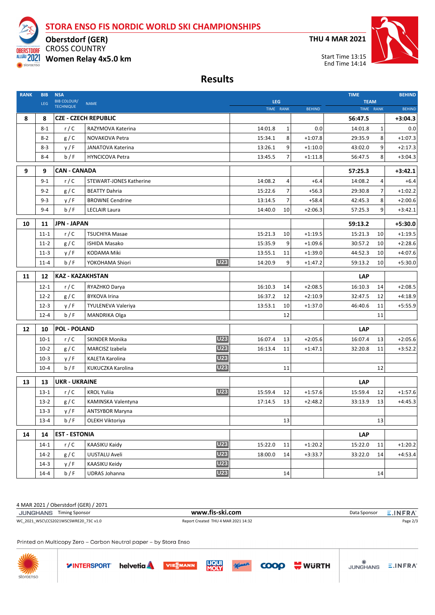**STORA ENSO FIS NORDIC WORLD SKI CHAMPIONSHIPS**

**THU 4 MAR 2021**



CROSS COUNTRY **Oberstdorf (GER) Women Relay 4x5.0 km**

**TNORE** ALLGÄU 2021 storgensch

**Results**

| <b>RANK</b> | <b>BIB</b><br><b>LEG</b> | <b>NSA</b><br><b>BIB COLOUR/</b> | <b>NAME</b>                          | <b>LEG</b> |                |               | <b>TIME</b> | <b>TEAM</b> |               |  |
|-------------|--------------------------|----------------------------------|--------------------------------------|------------|----------------|---------------|-------------|-------------|---------------|--|
|             |                          | <b>TECHNIQUE</b>                 |                                      |            | TIME RANK      | <b>BEHIND</b> | TIME RANK   |             | <b>BEHIND</b> |  |
| 8           | 8                        |                                  | <b>CZE - CZECH REPUBLIC</b>          |            |                |               | 56:47.5     |             | $+3:04.3$     |  |
|             | $8 - 1$                  | r/C                              | RAZYMOVA Katerina                    | 14:01.8    | 1              | 0.0           | 14:01.8     | 1           | 0.0           |  |
|             | $8 - 2$                  | g/C                              | NOVAKOVA Petra                       | 15:34.1    | 8              | $+1:07.8$     | 29:35.9     | 8           | $+1:07.3$     |  |
|             | $8-3$                    | y/F                              | JANATOVA Katerina                    | 13:26.1    | 9              | $+1:10.0$     | 43:02.0     | 9           | $+2:17.3$     |  |
|             | $8 - 4$                  | b/F                              | <b>HYNCICOVA Petra</b>               | 13:45.5    | $\overline{7}$ | $+1:11.8$     | 56:47.5     | 8           | $+3:04.3$     |  |
| 9           | 9                        | <b>CAN - CANADA</b>              |                                      |            |                |               | 57:25.3     |             | $+3:42.1$     |  |
|             | $9 - 1$                  | r/C                              | <b>STEWART-JONES Katherine</b>       | 14:08.2    | 4              | $+6.4$        | 14:08.2     | 4           | $+6.4$        |  |
|             | $9 - 2$                  | g/C                              | <b>BEATTY Dahria</b>                 | 15:22.6    | 7              | $+56.3$       | 29:30.8     | 7           | $+1:02.2$     |  |
|             | $9 - 3$                  | y/F                              | <b>BROWNE Cendrine</b>               | 13:14.5    | 7              | $+58.4$       | 42:45.3     | 8           | $+2:00.6$     |  |
|             | $9 - 4$                  | b/F                              | <b>LECLAIR Laura</b>                 | 14:40.0    | 10             | $+2:06.3$     | 57:25.3     | 9           | $+3:42.1$     |  |
| 10          | 11                       | <b>JPN - JAPAN</b>               |                                      |            |                |               | 59:13.2     |             | +5:30.0       |  |
|             | $11 - 1$                 | r/C                              | <b>TSUCHIYA Masae</b>                | 15:21.3    | 10             | $+1:19.5$     | 15:21.3     | 10          | $+1:19.5$     |  |
|             | $11-2$                   | g/C                              | <b>ISHIDA Masako</b>                 | 15:35.9    | 9              | $+1:09.6$     | 30:57.2     | 10          | $+2:28.6$     |  |
|             | $11-3$                   | y/F                              | <b>KODAMA Miki</b>                   | 13:55.1    | 11             | $+1:39.0$     | 44:52.3     | 10          | $+4:07.6$     |  |
|             | $11 - 4$                 | b/F                              | <b>U23</b><br>YOKOHAMA Shiori        | 14:20.9    | 9              | $+1:47.2$     | 59:13.2     | 10          | $+5:30.0$     |  |
| 11          | 12                       | <b>KAZ - KAZAKHSTAN</b>          |                                      |            |                |               | <b>LAP</b>  |             |               |  |
|             | $12 - 1$                 | r/C                              | RYAZHKO Darya                        | 16:10.3    | 14             | $+2:08.5$     | 16:10.3     | 14          | $+2:08.5$     |  |
|             | $12 - 2$                 | g/C                              | <b>BYKOVA Irina</b>                  | 16:37.2    | 12             | $+2:10.9$     | 32:47.5     | 12          | $+4:18.9$     |  |
|             | $12 - 3$                 | y/F                              | <b>TYULENEVA Valeriya</b>            | 13:53.1    | 10             | $+1:37.0$     | 46:40.6     | 11          | $+5:55.9$     |  |
|             | $12 - 4$                 | b/F                              | MANDRIKA Olga                        |            | 12             |               |             | 11          |               |  |
| 12          | 10                       | <b>POL - POLAND</b>              |                                      |            |                |               | <b>LAP</b>  |             |               |  |
|             | $10-1$                   | r/C                              | <b>U23</b><br>SKINDER Monika         | 16:07.4    | 13             | $+2:05.6$     | 16:07.4     | 13          | $+2:05.6$     |  |
|             | $10-2$                   | g/C                              | <b>U23</b><br>MARCISZ Izabela        | 16:13.4    | 11             | $+1:47.1$     | 32:20.8     | 11          | $+3:52.2$     |  |
|             | $10-3$                   | y/F                              | <b>U23</b><br><b>KALETA Karolina</b> |            |                |               |             |             |               |  |
|             | $10 - 4$                 | b/F                              | <b>U23</b><br>KUKUCZKA Karolina      |            | 11             |               |             | 12          |               |  |
| 13          | 13                       | <b>UKR - UKRAINE</b>             |                                      |            |                |               | <b>LAP</b>  |             |               |  |
|             | $13 - 1$                 | r/C                              | <b>U23</b><br><b>KROL Yuliia</b>     | 15:59.4    | 12             | $+1:57.6$     | 15:59.4     | 12          | $+1:57.6$     |  |
|             | $13-2$                   | g/C                              | KAMINSKA Valentyna                   | 17:14.5    | 13             | $+2:48.2$     | 33:13.9     | 13          | $+4:45.3$     |  |
|             | $13-3$                   | y/F                              | <b>ANTSYBOR Maryna</b>               |            |                |               |             |             |               |  |
|             | $13 - 4$                 | b/F                              | OLEKH Viktoriya                      |            | 13             |               |             | 13          |               |  |
| 14          | 14                       | <b>EST - ESTONIA</b>             |                                      |            |                |               | <b>LAP</b>  |             |               |  |
|             | $14-1$                   | r/C                              | <b>U23</b><br><b>KAASIKU Kaidy</b>   | 15:22.0    | 11             | $+1:20.2$     | 15:22.0     | 11          | $+1:20.2$     |  |
|             | $14-2$                   | g/C                              | <b>U23</b><br>UUSTALU Aveli          | 18:00.0    | 14             | $+3:33.7$     | 33:22.0     | 14          | $+4:53.4$     |  |
|             | $14-3$                   | y/F                              | <b>U23</b><br>KAASIKU Keidy          |            |                |               |             |             |               |  |
|             | $14 - 4$                 | b/F                              | <b>U23</b><br><b>UDRAS Johanna</b>   |            | $14\,$         |               |             | 14          |               |  |

4 MAR 2021 / Oberstdorf (GER) / 2071

| JUNGHANS Timing Sponsor               | www.fis-ski.com                     | Data Sponsor | E.INFRA  |
|---------------------------------------|-------------------------------------|--------------|----------|
| WC 2021 WSC\CCS2021WSCSWRE20 73C v1.0 | Report Created THU 4 MAR 2021 14:32 |              | Page 2/3 |

Printed on Multicopy Zero - Carbon Neutral paper - by Stora Enso

**YINTERSPORT** helvetia





WURTH